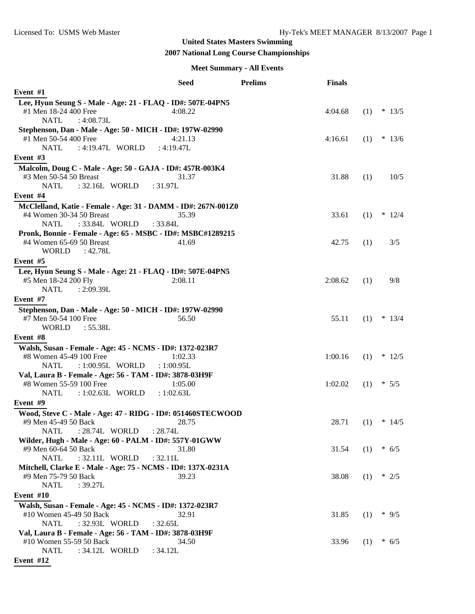# **2007 National Long Course Championships**

#### **Meet Summary - All Events**

|                                                               | <b>Seed</b>  | <b>Prelims</b> | <b>Finals</b> |     |          |
|---------------------------------------------------------------|--------------|----------------|---------------|-----|----------|
| Event #1                                                      |              |                |               |     |          |
| Lee, Hyun Seung S - Male - Age: 21 - FLAQ - ID#: 507E-04PN5   |              |                |               |     |          |
| #1 Men 18-24 400 Free                                         | 4:08.22      |                | 4:04.68       | (1) | $* 13/5$ |
| <b>NATL</b><br>: 4:08.73L                                     |              |                |               |     |          |
| Stephenson, Dan - Male - Age: 50 - MICH - ID#: 197W-02990     |              |                |               |     |          |
| #1 Men 50-54 400 Free                                         | 4:21.13      |                | 4:16.61       | (1) | $* 13/6$ |
| <b>NATL</b><br>: 4:19.47L WORLD                               | : $4:19.47L$ |                |               |     |          |
| Event #3                                                      |              |                |               |     |          |
| Malcolm, Doug C - Male - Age: 50 - GAJA - ID#: 457R-003K4     |              |                |               |     |          |
| #3 Men 50-54 50 Breast                                        | 31.37        |                | 31.88         | (1) | 10/5     |
| <b>NATL</b><br>: 32.16L WORLD                                 | : 31.97L     |                |               |     |          |
| Event $#4$                                                    |              |                |               |     |          |
| McClelland, Katie - Female - Age: 31 - DAMM - ID#: 267N-001Z0 |              |                |               |     |          |
| #4 Women 30-34 50 Breast                                      | 35.39        |                | 33.61         | (1) | $* 12/4$ |
| <b>NATL</b><br>: 33.84L WORLD                                 | : 33.84L     |                |               |     |          |
| Pronk, Bonnie - Female - Age: 65 - MSBC - ID#: MSBC#1289215   |              |                |               |     |          |
| #4 Women 65-69 50 Breast                                      | 41.69        |                | 42.75         | (1) | 3/5      |
| <b>WORLD</b><br>: 42.78L                                      |              |                |               |     |          |
| Event #5                                                      |              |                |               |     |          |
| Lee, Hyun Seung S - Male - Age: 21 - FLAQ - ID#: 507E-04PN5   |              |                |               |     |          |
| #5 Men 18-24 200 Fly                                          | 2:08.11      |                | 2:08.62       | (1) | 9/8      |
| <b>NATL</b><br>: 2:09.39L                                     |              |                |               |     |          |
| Event #7                                                      |              |                |               |     |          |
| Stephenson, Dan - Male - Age: 50 - MICH - ID#: 197W-02990     |              |                |               |     |          |
| #7 Men 50-54 100 Free                                         | 56.50        |                | 55.11         | (1) | $* 13/4$ |
| <b>WORLD</b><br>: 55.38L                                      |              |                |               |     |          |
| Event #8                                                      |              |                |               |     |          |
| Walsh, Susan - Female - Age: 45 - NCMS - ID#: 1372-023R7      |              |                |               |     |          |
| #8 Women 45-49 100 Free                                       | 1:02.33      |                | 1:00.16       | (1) | $* 12/5$ |
| <b>NATL</b><br>: 1:00.95L WORLD                               | : 1:00.95L   |                |               |     |          |
| Val, Laura B - Female - Age: 56 - TAM - ID#: 3878-03H9F       |              |                |               |     |          |
| #8 Women 55-59 100 Free                                       | 1:05.00      |                | 1:02.02       | (1) | $* 5/5$  |
| <b>NATL</b><br>$: 1:02.63L$ WORLD                             | : 1:02.63L   |                |               |     |          |
| Event #9                                                      |              |                |               |     |          |
| Wood, Steve C - Male - Age: 47 - RIDG - ID#: 051460STECWOOD   |              |                |               |     |          |
| #9 Men 45-49 50 Back                                          | 28.75        |                | 28.71         | (1) | $* 14/5$ |
| <b>NATL</b><br>: 28.74L WORLD                                 | : 28.74L     |                |               |     |          |
| Wilder, Hugh - Male - Age: 60 - PALM - ID#: 557Y-01GWW        |              |                |               |     |          |
| #9 Men 60-64 50 Back                                          | 31.80        |                | 31.54         | (1) | $* 6/5$  |
| <b>NATL</b><br>: 32.11L WORLD                                 | : 32.11L     |                |               |     |          |
| Mitchell, Clarke E - Male - Age: 75 - NCMS - ID#: 137X-0231A  |              |                |               |     |          |
| #9 Men 75-79 50 Back                                          | 39.23        |                | 38.08         | (1) | $*2/5$   |
| NATL<br>:39.27L                                               |              |                |               |     |          |
| Event #10                                                     |              |                |               |     |          |
| Walsh, Susan - Female - Age: 45 - NCMS - ID#: 1372-023R7      |              |                |               |     |          |
| #10 Women 45-49 50 Back                                       | 32.91        |                | 31.85         | (1) | $* 9/5$  |
| : 32.93L WORLD<br><b>NATL</b>                                 | : 32.65L     |                |               |     |          |
| Val, Laura B - Female - Age: 56 - TAM - ID#: 3878-03H9F       |              |                |               |     |          |
| #10 Women 55-59 50 Back                                       | 34.50        |                | 33.96         | (1) | $* 6/5$  |
| <b>NATL</b><br>: 34.12L WORLD                                 | : 34.12L     |                |               |     |          |
| Event #12                                                     |              |                |               |     |          |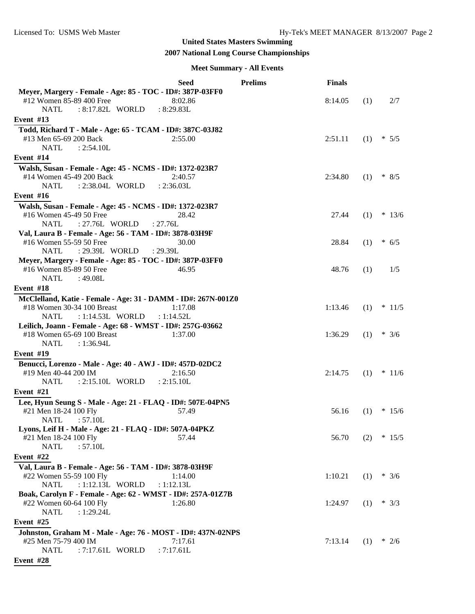# **2007 National Long Course Championships**

#### **Meet Summary - All Events**

|                                                                                    | <b>Seed</b> | <b>Prelims</b> | <b>Finals</b> |     |          |
|------------------------------------------------------------------------------------|-------------|----------------|---------------|-----|----------|
| Meyer, Margery - Female - Age: 85 - TOC - ID#: 387P-03FF0                          |             |                |               |     |          |
| #12 Women 85-89 400 Free                                                           | 8:02.86     |                | 8:14.05       | (1) | 2/7      |
| <b>NATL</b><br>: 8:17.82L WORLD                                                    | : 8:29.83L  |                |               |     |          |
| Event $#13$                                                                        |             |                |               |     |          |
| Todd, Richard T - Male - Age: 65 - TCAM - ID#: 387C-03J82                          |             |                |               |     |          |
| #13 Men 65-69 200 Back                                                             | 2:55.00     |                | 2:51.11       | (1) | $* 5/5$  |
| <b>NATL</b><br>: 2:54.10L                                                          |             |                |               |     |          |
| Event #14                                                                          |             |                |               |     |          |
| Walsh, Susan - Female - Age: 45 - NCMS - ID#: 1372-023R7                           |             |                |               |     |          |
| #14 Women 45-49 200 Back                                                           | 2:40.57     |                | 2:34.80       | (1) | $* 8/5$  |
| <b>NATL</b><br>: 2:38.04L WORLD                                                    | : 2:36.03L  |                |               |     |          |
| Event #16                                                                          |             |                |               |     |          |
| Walsh, Susan - Female - Age: 45 - NCMS - ID#: 1372-023R7                           |             |                |               |     |          |
| #16 Women 45-49 50 Free                                                            | 28.42       |                | 27.44         | (1) | $* 13/6$ |
| <b>NATL</b><br>: 27.76L WORLD                                                      | : 27.76L    |                |               |     |          |
| Val, Laura B - Female - Age: 56 - TAM - ID#: 3878-03H9F<br>#16 Women 55-59 50 Free | 30.00       |                | 28.84         | (1) | $* 6/5$  |
| <b>NATL</b><br>: 29.39L WORLD                                                      | : 29.39L    |                |               |     |          |
| Meyer, Margery - Female - Age: 85 - TOC - ID#: 387P-03FF0                          |             |                |               |     |          |
| #16 Women 85-89 50 Free                                                            | 46.95       |                | 48.76         | (1) | 1/5      |
| <b>NATL</b><br>:49.08L                                                             |             |                |               |     |          |
| Event #18                                                                          |             |                |               |     |          |
| McClelland, Katie - Female - Age: 31 - DAMM - ID#: 267N-001Z0                      |             |                |               |     |          |
| #18 Women 30-34 100 Breast                                                         | 1:17.08     |                | 1:13.46       | (1) | $* 11/5$ |
| : 1:14.53L WORLD<br><b>NATL</b>                                                    | : 1:14.52L  |                |               |     |          |
| Leilich, Joann - Female - Age: 68 - WMST - ID#: 257G-03662                         |             |                |               |     |          |
| #18 Women 65-69 100 Breast                                                         | 1:37.00     |                | 1:36.29       | (1) | $* 3/6$  |
| <b>NATL</b><br>: $1:36.94L$                                                        |             |                |               |     |          |
| Event $#19$                                                                        |             |                |               |     |          |
| Benucci, Lorenzo - Male - Age: 40 - AWJ - ID#: 457D-02DC2                          |             |                |               |     |          |
| #19 Men 40-44 200 IM                                                               | 2:16.50     |                | 2:14.75       | (1) | $*11/6$  |
| : 2:15.10L WORLD<br><b>NATL</b>                                                    | : 2:15.10L  |                |               |     |          |
| Event $#21$                                                                        |             |                |               |     |          |
| Lee, Hyun Seung S - Male - Age: 21 - FLAQ - ID#: 507E-04PN5                        |             |                |               |     |          |
| #21 Men 18-24 100 Fly                                                              | 57.49       |                | 56.16         | (1) | $* 15/6$ |
| : 57.10L<br><b>NATL</b>                                                            |             |                |               |     |          |
| Lyons, Leif H - Male - Age: 21 - FLAQ - ID#: 507A-04PKZ                            |             |                |               |     |          |
| #21 Men 18-24 100 Fly                                                              | 57.44       |                | 56.70         | (2) | $*15/5$  |
| <b>NATL</b><br>: 57.10L                                                            |             |                |               |     |          |
| Event #22                                                                          |             |                |               |     |          |
| Val, Laura B - Female - Age: 56 - TAM - ID#: 3878-03H9F                            |             |                |               |     |          |
| #22 Women 55-59 100 Fly                                                            | 1:14.00     |                | 1:10.21       | (1) | $* 3/6$  |
| <b>NATL</b><br>: 1:12.13L WORLD                                                    | : 1:12.13L  |                |               |     |          |
| Boak, Carolyn F - Female - Age: 62 - WMST - ID#: 257A-01Z7B                        |             |                |               |     |          |
| #22 Women 60-64 100 Fly                                                            | 1:26.80     |                | 1:24.97       | (1) | * $3/3$  |
| <b>NATL</b><br>: 1:29.24L                                                          |             |                |               |     |          |
| Event #25                                                                          |             |                |               |     |          |
| Johnston, Graham M - Male - Age: 76 - MOST - ID#: 437N-02NPS                       |             |                |               |     |          |
| #25 Men 75-79 400 IM                                                               | 7:17.61     |                | 7:13.14       | (1) | $*2/6$   |
| <b>NATL</b><br>: 7:17.61L WORLD                                                    | : 7:17.61L  |                |               |     |          |
| Event #28                                                                          |             |                |               |     |          |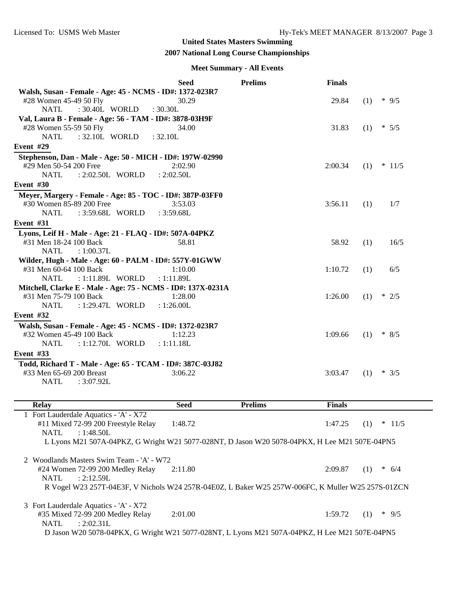## **2007 National Long Course Championships**

#### **Meet Summary - All Events**

|                                                                                                   | Seed        | <b>Prelims</b> | <b>Finals</b>        |     |          |
|---------------------------------------------------------------------------------------------------|-------------|----------------|----------------------|-----|----------|
| Walsh, Susan - Female - Age: 45 - NCMS - ID#: 1372-023R7                                          |             |                |                      |     |          |
| #28 Women 45-49 50 Fly                                                                            | 30.29       |                | 29.84                | (1) | $*$ 9/5  |
| <b>NATL</b><br>: 30.40L WORLD                                                                     | : 30.30L    |                |                      |     |          |
| Val, Laura B - Female - Age: 56 - TAM - ID#: 3878-03H9F                                           |             |                |                      |     |          |
| #28 Women 55-59 50 Fly                                                                            | 34.00       |                | 31.83                | (1) | $* 5/5$  |
| <b>NATL</b><br>: 32.10L WORLD                                                                     | : 32.10L    |                |                      |     |          |
| Event #29                                                                                         |             |                |                      |     |          |
| Stephenson, Dan - Male - Age: 50 - MICH - ID#: 197W-02990                                         |             |                |                      |     |          |
| #29 Men 50-54 200 Free                                                                            | 2:02.90     |                | 2:00.34              | (1) | $* 11/5$ |
| <b>NATL</b><br>: 2:02.50L WORLD                                                                   | : 2:02.50L  |                |                      |     |          |
| Event #30                                                                                         |             |                |                      |     |          |
| Meyer, Margery - Female - Age: 85 - TOC - ID#: 387P-03FF0                                         |             |                |                      |     |          |
| #30 Women 85-89 200 Free                                                                          | 3:53.03     |                | 3:56.11              | (1) | 1/7      |
| <b>NATL</b><br>: 3:59.68L WORLD                                                                   | : 3:59.68L  |                |                      |     |          |
|                                                                                                   |             |                |                      |     |          |
| <b>Event #31</b>                                                                                  |             |                |                      |     |          |
| Lyons, Leif H - Male - Age: 21 - FLAQ - ID#: 507A-04PKZ                                           |             |                |                      |     |          |
| #31 Men 18-24 100 Back                                                                            | 58.81       |                | 58.92                | (1) | 16/5     |
| <b>NATL</b><br>: 1:00.37L                                                                         |             |                |                      |     |          |
| Wilder, Hugh - Male - Age: 60 - PALM - ID#: 557Y-01GWW                                            |             |                |                      |     |          |
| #31 Men 60-64 100 Back                                                                            | 1:10.00     |                | 1:10.72              | (1) | 6/5      |
| <b>NATL</b><br>: 1:11.89L WORLD                                                                   | : 1:11.89L  |                |                      |     |          |
| Mitchell, Clarke E - Male - Age: 75 - NCMS - ID#: 137X-0231A                                      |             |                |                      |     |          |
| #31 Men 75-79 100 Back                                                                            | 1:28.00     |                | 1:26.00              | (1) | $*2/5$   |
| <b>NATL</b><br>: 1:29.47L WORLD                                                                   | : 1:26.00L  |                |                      |     |          |
| Event #32                                                                                         |             |                |                      |     |          |
| Walsh, Susan - Female - Age: 45 - NCMS - ID#: 1372-023R7                                          |             |                |                      |     |          |
| #32 Women 45-49 100 Back                                                                          | 1:12.23     |                | 1:09.66              | (1) | $* 8/5$  |
| <b>NATL</b><br>: 1:12.70L WORLD                                                                   | : 1:11.18L  |                |                      |     |          |
| Event #33                                                                                         |             |                |                      |     |          |
|                                                                                                   |             |                |                      |     |          |
| Todd, Richard T - Male - Age: 65 - TCAM - ID#: 387C-03J82                                         |             |                |                      |     |          |
| #33 Men 65-69 200 Breast                                                                          | 3:06.22     |                | 3:03.47              | (1) | $* 3/5$  |
| <b>NATL</b><br>: $3:07.92L$                                                                       |             |                |                      |     |          |
|                                                                                                   |             |                |                      |     |          |
| <b>Relay</b>                                                                                      | <b>Seed</b> | <b>Prelims</b> | <b>Finals</b>        |     |          |
| 1 Fort Lauderdale Aquatics - 'A' - X72                                                            |             |                |                      |     |          |
| #11 Mixed 72-99 200 Freestyle Relay                                                               | 1:48.72     |                | $1:47.25$ (1) * 11/5 |     |          |
| : 1:48.50L<br><b>NATL</b>                                                                         |             |                |                      |     |          |
| L Lyons M21 507A-04PKZ, G Wright W21 5077-028NT, D Jason W20 5078-04PKX, H Lee M21 507E-04PN5     |             |                |                      |     |          |
|                                                                                                   |             |                |                      |     |          |
| 2 Woodlands Masters Swim Team - 'A' - W72                                                         |             |                |                      |     |          |
| #24 Women 72-99 200 Medley Relay                                                                  | 2:11.80     |                | 2:09.87              | (1) | $* 6/4$  |
| <b>NATL</b><br>: 2:12.59L                                                                         |             |                |                      |     |          |
| R Vogel W23 257T-04E3F, V Nichols W24 257R-04E0Z, L Baker W25 257W-006FC, K Muller W25 257S-01ZCN |             |                |                      |     |          |
|                                                                                                   |             |                |                      |     |          |
|                                                                                                   |             |                |                      |     |          |

3 Fort Lauderdale Aquatics - 'A' - X72 #35 Mixed 72-99 200 Medley Relay 2:01.00 1:59.72 (1) \* 9/5 NATL : 2:02.31L D Jason W20 5078-04PKX, G Wright W21 5077-028NT, L Lyons M21 507A-04PKZ, H Lee M21 507E-04PN5